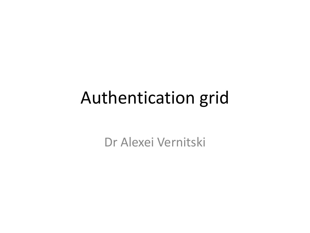## Authentication grid

Dr Alexei Vernitski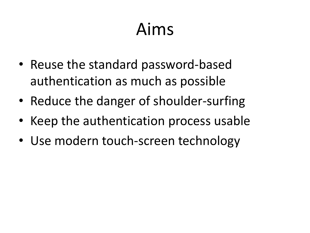# Aims

- Reuse the standard password-based authentication as much as possible
- Reduce the danger of shoulder-surfing
- Keep the authentication process usable
- Use modern touch-screen technology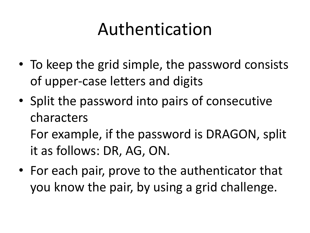# Authentication

- To keep the grid simple, the password consists of upper-case letters and digits
- Split the password into pairs of consecutive characters

For example, if the password is DRAGON, split it as follows: DR, AG, ON.

• For each pair, prove to the authenticator that you know the pair, by using a grid challenge.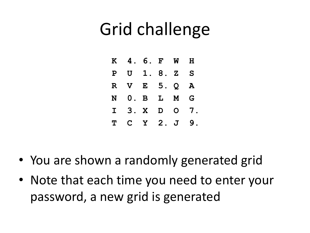## Grid challenge

| $\mathbf K$ |               | 4. 6. F      |              | W              | H                |  |
|-------------|---------------|--------------|--------------|----------------|------------------|--|
| ${\bf P}$   |               | U 1.8.       |              | $\mathbf{Z}$   | S                |  |
| $\mathbf R$ | $\mathbf V$   |              | E 5.         | $\overline{Q}$ | ${\bf A}$        |  |
| N           | $\mathbf 0$ . | $\mathbf{B}$ | $\mathbf{L}$ | M              | G                |  |
| $\mathbf I$ | 3. X          |              | D            | $\mathbf O$    | $\overline{7}$ . |  |
| Т           | C –           |              | Y 2. J       |                | 9                |  |

- You are shown a randomly generated grid
- Note that each time you need to enter your password, a new grid is generated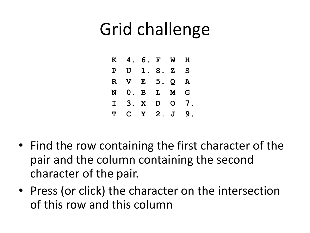## Grid challenge

|             | K 4. 6. F |          |   | <b>M</b>       | H         |
|-------------|-----------|----------|---|----------------|-----------|
| $\mathbf P$ |           | U 1.8.   |   | $\mathbf{Z}$   | S         |
| $\mathbf R$ | V E 5.    |          |   | Q              | ${\bf A}$ |
| N           |           | 0. B L   |   | M              | G         |
| $\mathbf I$ |           | 3. X     | D | $\mathsf{O}^-$ | 7.        |
| T           |           | C Y 2. J |   |                | 9         |

- Find the row containing the first character of the pair and the column containing the second character of the pair.
- Press (or click) the character on the intersection of this row and this column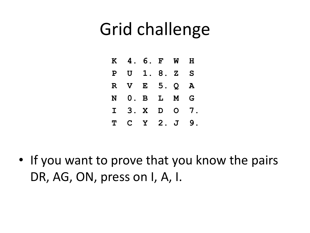## Grid challenge

|             | K 4. 6. F |            |              | <b>M</b>     | H                |
|-------------|-----------|------------|--------------|--------------|------------------|
| $\mathbf P$ |           | $U$ 1.8.2  |              |              | S                |
| R           | V E 5. Q  |            |              |              | A                |
| N           |           | $0.$ B $L$ |              | M            | G                |
| $\mathbf I$ | 3. X      |            | $\mathbf{D}$ | $\mathbf{O}$ | $\overline{7}$ . |
| T           | C Y 2. J  |            |              |              | 9                |

• If you want to prove that you know the pairs DR, AG, ON, press on I, A, I.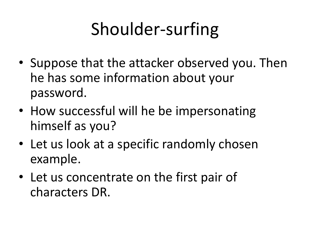# Shoulder-surfing

- Suppose that the attacker observed you. Then he has some information about your password.
- How successful will he be impersonating himself as you?
- Let us look at a specific randomly chosen example.
- Let us concentrate on the first pair of characters DR.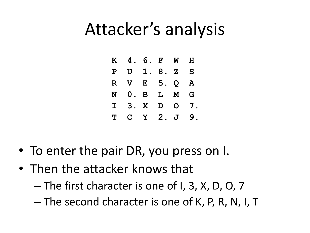### Attacker's analysis

|             | K 4.6. F W  |                           |      |              | H  |
|-------------|-------------|---------------------------|------|--------------|----|
| $\mathbf P$ |             | U 1.8.                    |      | $\mathbf{Z}$ | S  |
| R.          | $\mathbf V$ |                           | E 5. | Q            | A  |
| N           | 0.          | $\mathbf{B}$ $\mathbf{L}$ |      | M            | G  |
| $\mathbf I$ |             | 3. X                      | D    | $\mathbf{O}$ | 7. |
| T           |             | C Y 2. J                  |      |              | 9  |

- To enter the pair DR, you press on I.
- Then the attacker knows that
	- The first character is one of I, 3, X, D, O, 7
	- The second character is one of K, P, R, N, I, T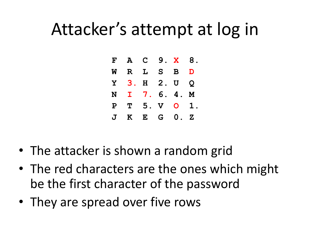### Attacker's attempt at log in

| F             |             | A C      |             | 9. X          | 8.           |
|---------------|-------------|----------|-------------|---------------|--------------|
| Ŵ             | R L         |          | <b>S</b>    | B             | D            |
|               | Y 3. H 2. U |          |             |               | Q            |
| N             | I 7.        |          | 6.          | 4.            | M            |
| $\mathbf P$   |             | $T = 5.$ | $\mathbf V$ | $\mathsf{O}$  |              |
| $\mathbf J$ . | $\mathbf K$ |          | $E$ $G$     | $\mathbf 0$ . | $\mathbf{Z}$ |

- The attacker is shown a random grid
- The red characters are the ones which might be the first character of the password
- They are spread over five rows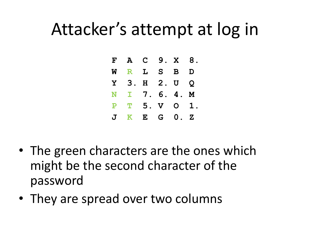### Attacker's attempt at log in

| $\mathbf{F}$  |              | A C    |     | 9. X 8.       |              |
|---------------|--------------|--------|-----|---------------|--------------|
| W             |              | R L S  |     | B             | D            |
| Y             | 3.           | H 2. U |     |               | Q            |
|               | N I 7.       |        | 6.  | 4.            | M            |
| ${\bf P}$     |              | T 5. V |     | $\mathsf{O}$  |              |
| $\mathbf J$ . | $\mathbf{K}$ |        | E G | $\mathbf 0$ . | $\mathbf{z}$ |

- The green characters are the ones which might be the second character of the password
- They are spread over two columns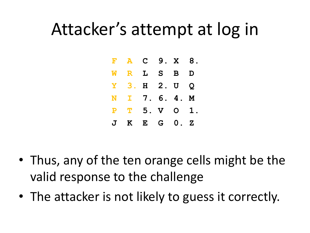### Attacker's attempt at log in

|              |             | $F$ A C      |   | 9. X          | 8.           |
|--------------|-------------|--------------|---|---------------|--------------|
| <b>W</b>     |             | R L S B      |   |               | D            |
| Y -          |             | 3. H 2. U    |   |               | Q            |
|              |             | N I 7.       |   | 6.4.          | M            |
| P            |             | $T = 5. V$   |   | $\mathsf{O}$  |              |
| $\mathbf{J}$ | $\mathbf K$ | $\mathbf{E}$ | G | $\mathbf 0$ . | $\mathbf{Z}$ |

- Thus, any of the ten orange cells might be the valid response to the challenge
- The attacker is not likely to guess it correctly.